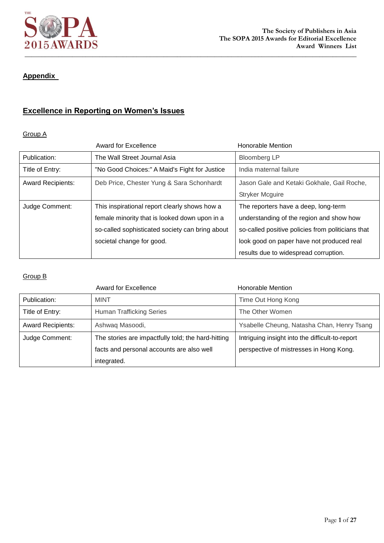

## **Appendix**

## **Excellence in Reporting on Women's Issues**

### Group A

|                          | <b>Award for Excellence</b>                     | Honorable Mention                                 |
|--------------------------|-------------------------------------------------|---------------------------------------------------|
| Publication:             | The Wall Street Journal Asia                    | <b>Bloomberg LP</b>                               |
| Title of Entry:          | "No Good Choices:" A Maid's Fight for Justice   | India maternal failure                            |
| <b>Award Recipients:</b> | Deb Price, Chester Yung & Sara Schonhardt       | Jason Gale and Ketaki Gokhale, Gail Roche,        |
|                          |                                                 | <b>Stryker Mcguire</b>                            |
| Judge Comment:           | This inspirational report clearly shows how a   | The reporters have a deep, long-term              |
|                          | female minority that is looked down upon in a   | understanding of the region and show how          |
|                          | so-called sophisticated society can bring about | so-called positive policies from politicians that |
|                          | societal change for good.                       | look good on paper have not produced real         |
|                          |                                                 | results due to widespread corruption.             |

|                          | <b>Award for Excellence</b>                        | Honorable Mention                               |
|--------------------------|----------------------------------------------------|-------------------------------------------------|
| Publication:             | <b>MINT</b>                                        | Time Out Hong Kong                              |
| Title of Entry:          | <b>Human Trafficking Series</b>                    | The Other Women                                 |
| <b>Award Recipients:</b> | Ashwaq Masoodi,                                    | Ysabelle Cheung, Natasha Chan, Henry Tsang      |
| Judge Comment:           | The stories are impactfully told; the hard-hitting | Intriguing insight into the difficult-to-report |
|                          | facts and personal accounts are also well          | perspective of mistresses in Hong Kong.         |
|                          | integrated.                                        |                                                 |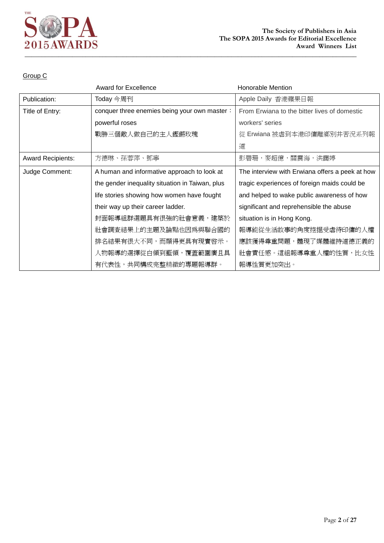

|                          | <b>Award for Excellence</b>                     | <b>Honorable Mention</b>                        |
|--------------------------|-------------------------------------------------|-------------------------------------------------|
| Publication:             | Today 今周刊                                       | Apple Daily 香港蘋果日報                              |
| Title of Entry:          | conquer three enemies being your own master:    | From Erwiana to the bitter lives of domestic    |
|                          | powerful roses                                  | workers' series                                 |
|                          | 戰勝三個敵人做自己的主人鏗鏘玫瑰                                | 從 Erwiana 被虐到本港印傭離鄉別井苦況系列報                      |
|                          |                                                 | 道                                               |
| <b>Award Recipients:</b> | 方德琳、孫蓉萍、鄧寧                                      | 彭碧珊,麥超億,關震海,洪藹婷                                 |
| Judge Comment:           | A human and informative approach to look at     | The interview with Erwiana offers a peek at how |
|                          | the gender inequality situation in Taiwan, plus | tragic experiences of foreign maids could be    |
|                          | life stories showing how women have fought      | and helped to wake public awareness of how      |
|                          | their way up their career ladder.               | significant and reprehensible the abuse         |
|                          | 封面報導組群選題具有很強的社會意義,建築於                           | situation is in Hong Kong.                      |
|                          | 社會調査結果上的主題及論點也因爲與聯合國的                           | 報導能從生活故事的角度挖掘受虐待印傭的人權                           |
|                          | 排名結果有很大不同,而顯得更具有現實啓示。                           | 應該獲得尊重問題,體現了媒體維持道德正義的                           |
|                          | 人物報導的選擇從白領到藍領,覆蓋範圍廣且具                           | 社會責任感。這組報導尊重人權的性質,比女性                           |
|                          | 有代表性,共同構成完整精緻的專題報導群。                            | 報導性質更加突出。                                       |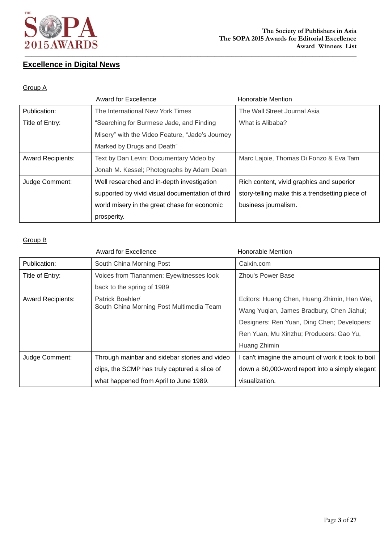

## **Excellence in Digital News**

### Group A

|                          | Award for Excellence                             | Honorable Mention                               |
|--------------------------|--------------------------------------------------|-------------------------------------------------|
| Publication:             | The International New York Times                 | The Wall Street Journal Asia                    |
| Title of Entry:          | "Searching for Burmese Jade, and Finding         | What is Alibaba?                                |
|                          | Misery" with the Video Feature, "Jade's Journey  |                                                 |
|                          | Marked by Drugs and Death"                       |                                                 |
| <b>Award Recipients:</b> | Text by Dan Levin; Documentary Video by          | Marc Lajoie, Thomas Di Fonzo & Eva Tam          |
|                          | Jonah M. Kessel; Photographs by Adam Dean        |                                                 |
| Judge Comment:           | Well researched and in-depth investigation       | Rich content, vivid graphics and superior       |
|                          | supported by vivid visual documentation of third | story-telling make this a trendsetting piece of |
|                          | world misery in the great chase for economic     | business journalism.                            |
|                          | prosperity.                                      |                                                 |

|                          | Award for Excellence                          | <b>Honorable Mention</b>                           |
|--------------------------|-----------------------------------------------|----------------------------------------------------|
| Publication:             | South China Morning Post                      | Caixin.com                                         |
| Title of Entry:          | Voices from Tiananmen: Eyewitnesses look      | Zhou's Power Base                                  |
|                          | back to the spring of 1989                    |                                                    |
| <b>Award Recipients:</b> | Patrick Boehler/                              | Editors: Huang Chen, Huang Zhimin, Han Wei,        |
|                          | South China Morning Post Multimedia Team      | Wang Yuqian, James Bradbury, Chen Jiahui;          |
|                          |                                               | Designers: Ren Yuan, Ding Chen; Developers:        |
|                          |                                               | Ren Yuan, Mu Xinzhu; Producers: Gao Yu,            |
|                          |                                               | Huang Zhimin                                       |
| Judge Comment:           | Through mainbar and sidebar stories and video | I can't imagine the amount of work it took to boil |
|                          | clips, the SCMP has truly captured a slice of | down a 60,000-word report into a simply elegant    |
|                          | what happened from April to June 1989.        | visualization.                                     |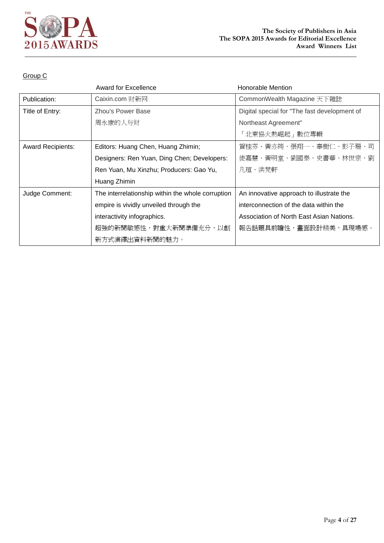

|                          | <b>Award for Excellence</b>                       | <b>Honorable Mention</b>                     |
|--------------------------|---------------------------------------------------|----------------------------------------------|
| Publication:             | Caixin.com 财新网                                    | CommonWealth Magazine 天下雜誌                   |
| Title of Entry:          | Zhou's Power Base                                 | Digital special for "The fast development of |
|                          | 周永康的人与财                                           | Northeast Agreement"                         |
|                          |                                                   | 「北東協火熱崛起 」 數位專輯                              |
| <b>Award Recipients:</b> | Editors: Huang Chen, Huang Zhimin;                | 賀桂芬、黃亦筠、張翔一、辜樹仁、彭子珊、司                        |
|                          | Designers: Ren Yuan, Ding Chen; Developers:       | 徒嘉慧、黃明堂、劉國泰、史書華、林世宗、劉                        |
|                          | Ren Yuan, Mu Xinzhu; Producers: Gao Yu,           | 凡瑄、洪梵軒                                       |
|                          | Huang Zhimin                                      |                                              |
| Judge Comment:           | The interrelationship within the whole corruption | An innovative approach to illustrate the     |
|                          | empire is vividly unveiled through the            | interconnection of the data within the       |
|                          | interactivity infographics.                       | Association of North East Asian Nations.     |
|                          | 超強的新聞敏感性,對重大新聞準備充分,以創                             | 報告話題具前瞻性,畫面設計精美,具現場感。                        |
|                          | 新方式演繹出資料新聞的魅力。                                    |                                              |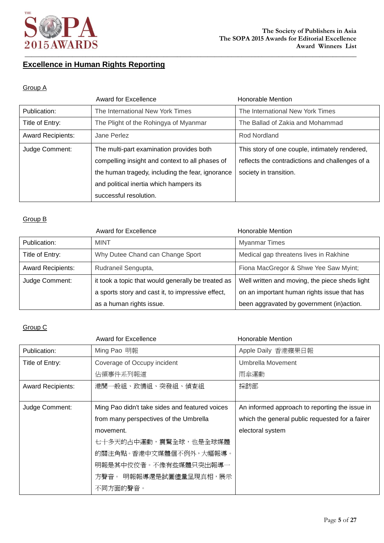

## **Excellence in Human Rights Reporting**

### Group A

|                          | Award for Excellence                             | Honorable Mention                               |
|--------------------------|--------------------------------------------------|-------------------------------------------------|
| Publication:             | The International New York Times                 | The International New York Times                |
| Title of Entry:          | The Plight of the Rohingya of Myanmar            | The Ballad of Zakia and Mohammad                |
| <b>Award Recipients:</b> | Jane Perlez                                      | Rod Nordland                                    |
| Judge Comment:           | The multi-part examination provides both         | This story of one couple, intimately rendered,  |
|                          | compelling insight and context to all phases of  | reflects the contradictions and challenges of a |
|                          | the human tragedy, including the fear, ignorance | society in transition.                          |
|                          | and political inertia which hampers its          |                                                 |
|                          | successful resolution.                           |                                                 |

### Group B

|                          | Award for Excellence                               | Honorable Mention                              |
|--------------------------|----------------------------------------------------|------------------------------------------------|
| Publication:             | <b>MINT</b>                                        | <b>Myanmar Times</b>                           |
| Title of Entry:          | Why Dutee Chand can Change Sport                   | Medical gap threatens lives in Rakhine         |
| <b>Award Recipients:</b> | Rudraneil Sengupta,                                | Fiona MacGregor & Shwe Yee Saw Myint;          |
| Judge Comment:           | it took a topic that would generally be treated as | Well written and moving, the piece sheds light |
|                          | a sports story and cast it, to impressive effect,  | on an important human rights issue that has    |
|                          | as a human rights issue.                           | been aggravated by government (in)action.      |

|                          | Award for Excellence                           | Honorable Mention                               |
|--------------------------|------------------------------------------------|-------------------------------------------------|
| Publication:             | Ming Pao 明報                                    | Apple Daily 香港蘋果日報                              |
| Title of Entry:          | Coverage of Occupy incident                    | Umbrella Movement                               |
|                          | 佔領事件系列報道                                       | 雨傘運動                                            |
| <b>Award Recipients:</b> | 港聞一般組、政情組、突發組、偵査組                              | 採訪部                                             |
|                          |                                                |                                                 |
| Judge Comment:           | Ming Pao didn't take sides and featured voices | An informed approach to reporting the issue in  |
|                          | from many perspectives of the Umbrella         | which the general public requested for a fairer |
|                          | movement.                                      | electoral system                                |
|                          | 七十多天的占中運動,震驚全球,也是全球媒體                          |                                                 |
|                          | 的關注角點。香港中文媒體個不例外,大幅報導。                         |                                                 |
|                          | 明報是其中佼佼者。不像有些媒體只突出報導一                          |                                                 |
|                          | 方聲音。 明報報導還是試圖儘量呈現真相,展示                         |                                                 |
|                          | 不同方面的聲音。                                       |                                                 |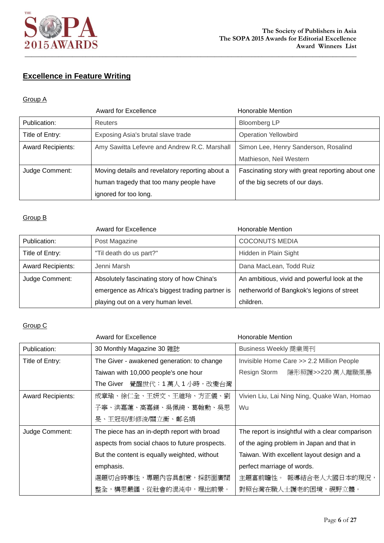

# **Excellence in Feature Writing**

### Group A

|                          | <b>Award for Excellence</b>                     | <b>Honorable Mention</b>                         |
|--------------------------|-------------------------------------------------|--------------------------------------------------|
| Publication:             | Reuters                                         | <b>Bloomberg LP</b>                              |
| Title of Entry:          | Exposing Asia's brutal slave trade              | <b>Operation Yellowbird</b>                      |
| <b>Award Recipients:</b> | Amy Sawitta Lefevre and Andrew R.C. Marshall    | Simon Lee, Henry Sanderson, Rosalind             |
|                          |                                                 | Mathieson, Neil Western                          |
| Judge Comment:           | Moving details and revelatory reporting about a | Fascinating story with great reporting about one |
|                          | human tragedy that too many people have         | of the big secrets of our days.                  |
|                          | ignored for too long.                           |                                                  |

### Group B

|                          | Award for Excellence                             | Honorable Mention                            |
|--------------------------|--------------------------------------------------|----------------------------------------------|
| Publication:             | Post Magazine                                    | <b>COCONUTS MEDIA</b>                        |
| Title of Entry:          | "Til death do us part?"                          | Hidden in Plain Sight                        |
| <b>Award Recipients:</b> | Jenni Marsh                                      | Dana MacLean, Todd Ruiz                      |
| Judge Comment:           | Absolutely fascinating story of how China's      | An ambitious, vivid and powerful look at the |
|                          | emergence as Africa's biggest trading partner is | netherworld of Bangkok's legions of street   |
|                          | playing out on a very human level.               | children.                                    |

|                          | <b>Award for Excellence</b>                    | <b>Honorable Mention</b>                         |
|--------------------------|------------------------------------------------|--------------------------------------------------|
| Publication:             | 30 Monthly Magazine 30 雜誌                      | Business Weekly 商業周刊                             |
| Title of Entry:          | The Giver - awakened generation: to change     | Invisible Home Care >> 2.2 Million People        |
|                          | Taiwan with 10,000 people's one hour           | Resign Storm<br>隱形照護>>220 萬人離職風暴                 |
|                          | ■ 覺醒世代:1 萬人 1 小時,改變台灣<br>The Giver             |                                                  |
| <b>Award Recipients:</b> | 成章瑜、徐仁全、王妍文、王維玲、方正儀、劉                          | Vivien Liu, Lai Ning Ning, Quake Wan, Homao      |
|                          | 子寧、洪嘉蓮、高嘉鎂、吳佩綺、葛翰勳、吳思                          | Wu                                               |
|                          | 旻、王冠珉/彭修浚/關立衡、鄭名娟                              |                                                  |
| Judge Comment:           | The piece has an in-depth report with broad    | The report is insightful with a clear comparison |
|                          | aspects from social chaos to future prospects. | of the aging problem in Japan and that in        |
|                          | But the content is equally weighted, without   | Taiwan. With excellent layout design and a       |
|                          | emphasis.                                      | perfect marriage of words.                       |
|                          | 選題切合時事性,專題內容具創意,採訪面廣闊                          | 主題富前瞻性。 報導結合老人大國日本的現況,                           |
|                          | 整全,構思嚴謹,從社會的混沌中,理出前景。                          | 對照台灣在職人士護老的困境,視野立體。                              |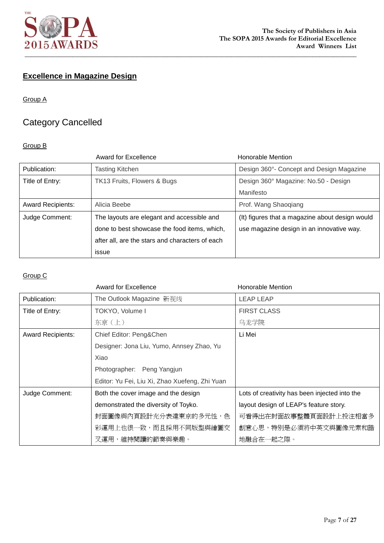

# **Excellence in Magazine Design**

### Group A

# Category Cancelled

### Group B

|                          | <b>Award for Excellence</b>                     | Honorable Mention                               |
|--------------------------|-------------------------------------------------|-------------------------------------------------|
| Publication:             | <b>Tasting Kitchen</b>                          | Design 360°- Concept and Design Magazine        |
| Title of Entry:          | TK13 Fruits, Flowers & Bugs                     | Design 360° Magazine: No.50 - Design            |
|                          |                                                 | Manifesto                                       |
| <b>Award Recipients:</b> | Alicia Beebe                                    | Prof. Wang Shaoqiang                            |
| Judge Comment:           | The layouts are elegant and accessible and      | (It) figures that a magazine about design would |
|                          | done to best showcase the food items, which,    | use magazine design in an innovative way.       |
|                          | after all, are the stars and characters of each |                                                 |
|                          | issue                                           |                                                 |

|                          | Award for Excellence                           | Honorable Mention                             |
|--------------------------|------------------------------------------------|-----------------------------------------------|
| Publication:             | The Outlook Magazine 新视线                       | <b>LEAP LEAP</b>                              |
| Title of Entry:          | TOKYO, Volume I                                | <b>FIRST CLASS</b>                            |
|                          | 东京 (上)                                         | 乌龙学院                                          |
| <b>Award Recipients:</b> | Chief Editor: Peng&Chen                        | Li Mei                                        |
|                          | Designer: Jona Liu, Yumo, Annsey Zhao, Yu      |                                               |
|                          | Xiao                                           |                                               |
|                          | Photographer: Peng Yangjun                     |                                               |
|                          | Editor: Yu Fei, Liu Xi, Zhao Xuefeng, Zhi Yuan |                                               |
| Judge Comment:           | Both the cover image and the design            | Lots of creativity has been injected into the |
|                          | demonstrated the diversity of Toyko.           | layout design of LEAP's feature story.        |
|                          | 封面圖像與內頁設計充分表達東京的多元性,色                          | 可看得出在封面故事整體頁面設計上投注相當多                         |
|                          | 彩運用上也很一致,而且採用不同版型與繪圖交                          | 創意心思,特別是必須將中英文與圖像元素和諧                         |
|                          | 叉運用,維持閱讀的節奏與樂趣。                                | 地融合在一起之際。                                     |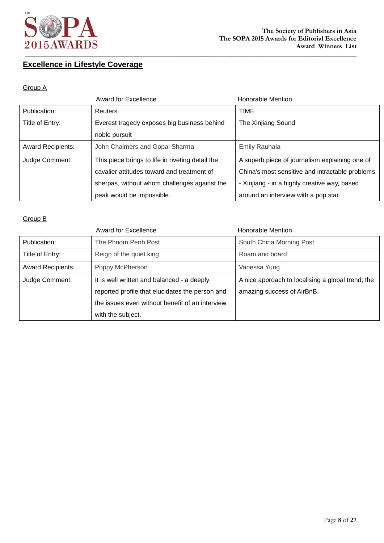

# **Excellence in Lifestyle Coverage**

#### Group A

|                          | <b>Award for Excellence</b>                      | <b>Honorable Mention</b>                        |
|--------------------------|--------------------------------------------------|-------------------------------------------------|
| Publication:             | <b>Reuters</b>                                   | <b>TIME</b>                                     |
| Title of Entry:          | Everest tragedy exposes big business behind      | The Xinjiang Sound                              |
|                          | noble pursuit                                    |                                                 |
| <b>Award Recipients:</b> | John Chalmers and Gopal Sharma                   | <b>Emily Rauhala</b>                            |
| Judge Comment:           | This piece brings to life in riveting detail the | A superb piece of journalism explaining one of  |
|                          | cavalier attitudes toward and treatment of       | China's most sensitive and intractable problems |
|                          | sherpas, without whom challenges against the     | - Xinjiang - in a highly creative way, based    |
|                          | peak would be impossible.                        | around an interview with a pop star.            |

|                          | <b>Award for Excellence</b>                     | Honorable Mention                                 |
|--------------------------|-------------------------------------------------|---------------------------------------------------|
| Publication:             | The Phnom Penh Post                             | South China Morning Post                          |
| Title of Entry:          | Reign of the quiet king                         | Roam and board                                    |
| <b>Award Recipients:</b> | Poppy McPherson                                 | Vanessa Yung                                      |
| Judge Comment:           | It is well written and balanced - a deeply      | A nice approach to localising a global trend; the |
|                          | reported profile that elucidates the person and | amazing success of AirBnB.                        |
|                          | the issues even without benefit of an interview |                                                   |
|                          | with the subject.                               |                                                   |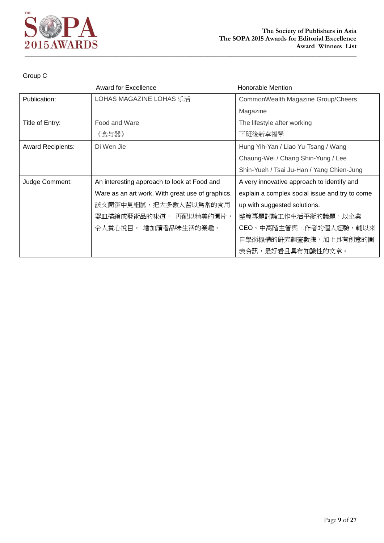

|                          | Award for Excellence                             | Honorable Mention                              |
|--------------------------|--------------------------------------------------|------------------------------------------------|
| Publication:             | LOHAS MAGAZINE LOHAS 乐活                          | CommonWealth Magazine Group/Cheers             |
|                          |                                                  | Magazine                                       |
| Title of Entry:          | Food and Ware                                    | The lifestyle after working                    |
|                          | 《食与器》                                            | 下班後新幸福學                                        |
| <b>Award Recipients:</b> | Di Wen Jie                                       | Hung Yih-Yan / Liao Yu-Tsang / Wang            |
|                          |                                                  | Chaung-Wei / Chang Shin-Yung / Lee             |
|                          |                                                  | Shin-Yueh / Tsai Ju-Han / Yang Chien-Jung      |
| Judge Comment:           | An interesting approach to look at Food and      | A very innovative approach to identify and     |
|                          | Ware as an art work. With great use of graphics. | explain a complex social issue and try to come |
|                          | 該文簡潔中見細膩,把大多數人習以爲常的食用                            | up with suggested solutions.                   |
|                          | 器皿描繪成藝術品的味道, 再配以精美的圖片,                           | 整篇專題討論工作生活平衡的議題,以企業                            |
|                          | 令人賞心悅目。 增加讀者品味生活的樂趣。                             | CEO、中高階主管與工作者的個人經驗,輔以來                         |
|                          |                                                  | 自學術機構的研究調查數據,加上具有創意的圖                          |
|                          |                                                  | 表資訊,是好看且具有知識性的文章。                              |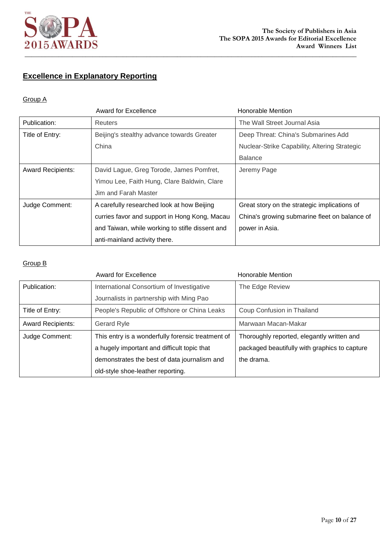

# **Excellence in Explanatory Reporting**

### Group A

|                          | Award for Excellence                            | Honorable Mention                             |
|--------------------------|-------------------------------------------------|-----------------------------------------------|
| Publication:             | <b>Reuters</b>                                  | The Wall Street Journal Asia                  |
| Title of Entry:          | Beijing's stealthy advance towards Greater      | Deep Threat: China's Submarines Add           |
|                          | China                                           | Nuclear-Strike Capability, Altering Strategic |
|                          |                                                 | <b>Balance</b>                                |
| <b>Award Recipients:</b> | David Lague, Greg Torode, James Pomfret,        | Jeremy Page                                   |
|                          | Yimou Lee, Faith Hung, Clare Baldwin, Clare     |                                               |
|                          | Jim and Farah Master                            |                                               |
| Judge Comment:           | A carefully researched look at how Beijing      | Great story on the strategic implications of  |
|                          | curries favor and support in Hong Kong, Macau   | China's growing submarine fleet on balance of |
|                          | and Taiwan, while working to stifle dissent and | power in Asia.                                |
|                          | anti-mainland activity there.                   |                                               |

|                          | <b>Award for Excellence</b>                       | <b>Honorable Mention</b>                      |
|--------------------------|---------------------------------------------------|-----------------------------------------------|
| Publication:             | International Consortium of Investigative         | The Edge Review                               |
|                          | Journalists in partnership with Ming Pao          |                                               |
| Title of Entry:          | People's Republic of Offshore or China Leaks      | Coup Confusion in Thailand                    |
| <b>Award Recipients:</b> | Gerard Ryle                                       | Marwaan Macan-Makar                           |
| Judge Comment:           | This entry is a wonderfully forensic treatment of | Thoroughly reported, elegantly written and    |
|                          | a hugely important and difficult topic that       | packaged beautifully with graphics to capture |
|                          | demonstrates the best of data journalism and      | the drama.                                    |
|                          | old-style shoe-leather reporting.                 |                                               |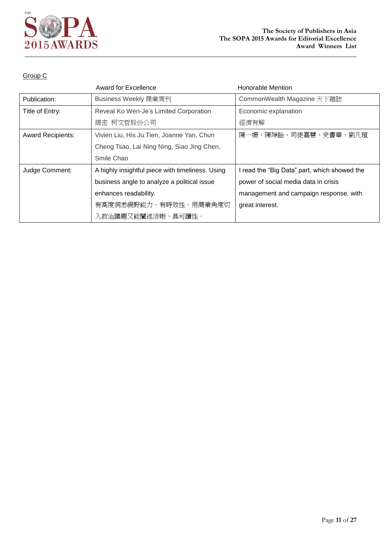

|                          | Award for Excellence                             | Honorable Mention                            |
|--------------------------|--------------------------------------------------|----------------------------------------------|
| Publication:             | Business Weekly 商業周刊                             | CommonWealth Magazine 天下雜誌                   |
| Title of Entry:          | Reveal Ko Wen-Je's Limited Corporation           | Economic explanation                         |
|                          | 揭密 柯文哲股份公司                                       | 經濟有解                                         |
| <b>Award Recipients:</b> | Vivien Liu, His Ju Tien, Joanne Yan, Chun        | 陳一姍、陳竫詒、司徒嘉慧、史書華、劉凡瑄                         |
|                          | Cheng Tsao, Lai Ning Ning, Siao Jing Chen,       |                                              |
|                          | Smile Chao                                       |                                              |
| Judge Comment:           | A highly insightful piece with timeliness. Using | I read the "Big Data" part, which showed the |
|                          | business angle to analyze a political issue      | power of social media data in crisis         |
|                          | enhances readability.                            | management and campaign response, with       |
|                          | 有高度洞悉視野能力。有時效性。用商業角度切                            | great interest.                              |
|                          | 入政治議題又能闡述清晰,具可讀性。                                |                                              |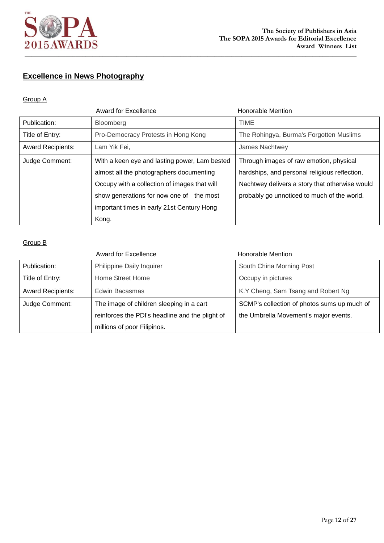

# **Excellence in News Photography**

### Group A

|                          | Award for Excellence                          | <b>Honorable Mention</b>                       |
|--------------------------|-----------------------------------------------|------------------------------------------------|
| Publication:             | Bloomberg                                     | <b>TIME</b>                                    |
| Title of Entry:          | Pro-Democracy Protests in Hong Kong           | The Rohingya, Burma's Forgotten Muslims        |
| <b>Award Recipients:</b> | Lam Yik Fei,                                  | James Nachtwey                                 |
| Judge Comment:           | With a keen eye and lasting power, Lam bested | Through images of raw emotion, physical        |
|                          | almost all the photographers documenting      | hardships, and personal religious reflection,  |
|                          | Occupy with a collection of images that will  | Nachtwey delivers a story that otherwise would |
|                          | show generations for now one of the most      | probably go unnoticed to much of the world.    |
|                          | important times in early 21st Century Hong    |                                                |
|                          | Kong.                                         |                                                |

|                          | <b>Award for Excellence</b>                     | Honorable Mention                           |
|--------------------------|-------------------------------------------------|---------------------------------------------|
| Publication:             | Philippine Daily Inquirer                       | South China Morning Post                    |
| Title of Entry:          | Home Street Home                                | Occupy in pictures                          |
| <b>Award Recipients:</b> | Edwin Bacasmas                                  | K.Y Cheng, Sam Tsang and Robert Ng          |
| Judge Comment:           | The image of children sleeping in a cart        | SCMP's collection of photos sums up much of |
|                          | reinforces the PDI's headline and the plight of | the Umbrella Movement's major events.       |
|                          | millions of poor Filipinos.                     |                                             |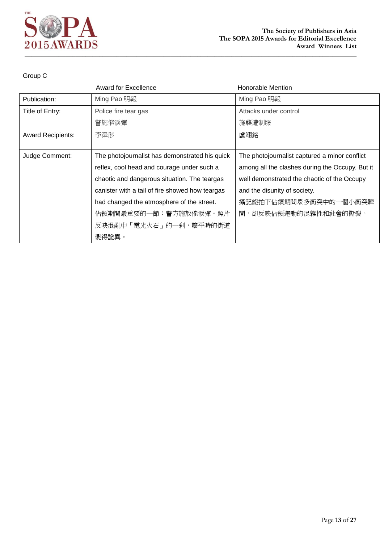

|                          | <b>Award for Excellence</b>                     | <b>Honorable Mention</b>                        |
|--------------------------|-------------------------------------------------|-------------------------------------------------|
| Publication:             | Ming Pao 明報                                     | Ming Pao 明報                                     |
| Title of Entry:          | Police fire tear gas                            | Attacks under control                           |
|                          | 警施催淚彈                                           | 施襲遭制服                                           |
| <b>Award Recipients:</b> | 李澤彤                                             | 盧翊銘                                             |
|                          |                                                 |                                                 |
| Judge Comment:           | The photojournalist has demonstrated his quick  | The photojournalist captured a minor conflict   |
|                          | reflex, cool head and courage under such a      | among all the clashes during the Occupy. But it |
|                          | chaotic and dangerous situation. The teargas    | well demonstrated the chaotic of the Occupy     |
|                          | canister with a tail of fire showed how teargas | and the disunity of society.                    |
|                          | had changed the atmosphere of the street.       | 攝記能拍下佔領期間眾多衝突中的一個小衝突瞬                           |
|                          | 佔領期間最重要的一節:警方施放催淚彈。照片                           | 間,卻反映佔領運動的混雜性和社會的撕裂。                            |
|                          | 反映混亂中「電光火石」的一刹,讓平時的街道                           |                                                 |
|                          | 變得詭異。                                           |                                                 |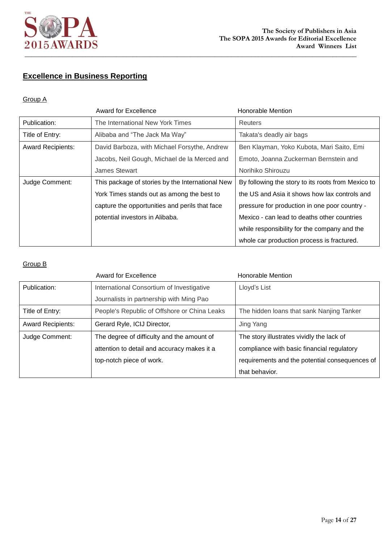

# **Excellence in Business Reporting**

### Group A

|                          | <b>Award for Excellence</b>                      | Honorable Mention                                  |
|--------------------------|--------------------------------------------------|----------------------------------------------------|
| Publication:             | The International New York Times                 | Reuters                                            |
| Title of Entry:          | Alibaba and "The Jack Ma Way"                    | Takata's deadly air bags                           |
| <b>Award Recipients:</b> | David Barboza, with Michael Forsythe, Andrew     | Ben Klayman, Yoko Kubota, Mari Saito, Emi          |
|                          | Jacobs, Neil Gough, Michael de la Merced and     | Emoto, Joanna Zuckerman Bernstein and              |
|                          | James Stewart                                    | Norihiko Shirouzu                                  |
| Judge Comment:           | This package of stories by the International New | By following the story to its roots from Mexico to |
|                          | York Times stands out as among the best to       | the US and Asia it shows how lax controls and      |
|                          | capture the opportunities and perils that face   | pressure for production in one poor country -      |
|                          | potential investors in Alibaba.                  | Mexico - can lead to deaths other countries        |
|                          |                                                  | while responsibility for the company and the       |
|                          |                                                  | whole car production process is fractured.         |

|                          | <b>Award for Excellence</b>                  | <b>Honorable Mention</b>                       |
|--------------------------|----------------------------------------------|------------------------------------------------|
| Publication:             | International Consortium of Investigative    | Lloyd's List                                   |
|                          | Journalists in partnership with Ming Pao     |                                                |
| Title of Entry:          | People's Republic of Offshore or China Leaks | The hidden loans that sank Nanjing Tanker      |
| <b>Award Recipients:</b> | Gerard Ryle, ICIJ Director,                  | Jing Yang                                      |
| Judge Comment:           | The degree of difficulty and the amount of   | The story illustrates vividly the lack of      |
|                          | attention to detail and accuracy makes it a  | compliance with basic financial regulatory     |
|                          | top-notch piece of work.                     | requirements and the potential consequences of |
|                          |                                              | that behavior.                                 |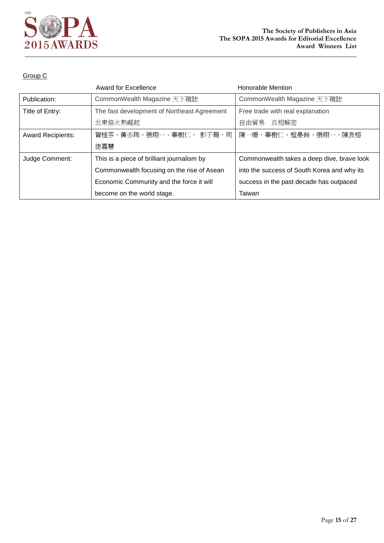

|                          | <b>Award for Excellence</b>                 | Honorable Mention                           |
|--------------------------|---------------------------------------------|---------------------------------------------|
| Publication:             | CommonWealth Magazine 天下雜誌                  | CommonWealth Magazine 天下雜誌                  |
| Title of Entry:          | The fast development of Northeast Agreement | Free trade with real explanation            |
|                          | 北東協火熱崛起                                     | 自由貿易 真相解密                                   |
| <b>Award Recipients:</b> | 賀桂芬、黃亦筠、張翔一、辜樹仁、 彭子珊、司                      | 陳一姍、辜樹仁、程晏鈴、張翔一、陳良榕                         |
|                          | 徒嘉慧                                         |                                             |
| Judge Comment:           | This is a piece of brilliant journalism by  | Commonwealth takes a deep dive, brave look  |
|                          | Commonwealth focusing on the rise of Asean  | into the success of South Korea and why its |
|                          | Economic Community and the force it will    | success in the past decade has outpaced     |
|                          | become on the world stage.                  | Taiwan                                      |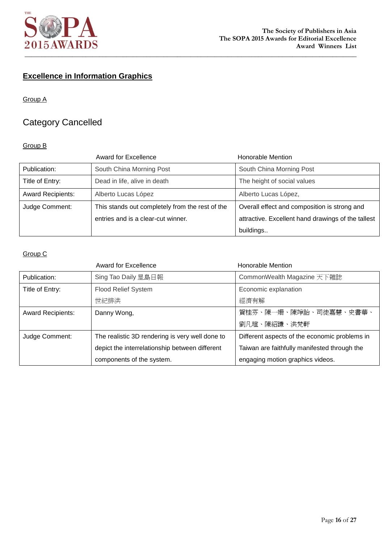

# **Excellence in Information Graphics**

### Group A

# Category Cancelled

### Group B

|                          | Award for Excellence                            | Honorable Mention                                  |
|--------------------------|-------------------------------------------------|----------------------------------------------------|
| Publication:             | South China Morning Post                        | South China Morning Post                           |
| Title of Entry:          | Dead in life, alive in death                    | The height of social values                        |
| <b>Award Recipients:</b> | Alberto Lucas López                             | Alberto Lucas López,                               |
| Judge Comment:           | This stands out completely from the rest of the | Overall effect and composition is strong and       |
|                          | entries and is a clear-cut winner.              | attractive. Excellent hand drawings of the tallest |
|                          |                                                 | buildings                                          |

|                          | <b>Award for Excellence</b>                     | Honorable Mention                             |
|--------------------------|-------------------------------------------------|-----------------------------------------------|
| Publication:             | Sing Tao Daily 星島日報                             | CommonWealth Magazine 天下雜誌                    |
| Title of Entry:          | <b>Flood Relief System</b>                      | Economic explanation                          |
|                          | 世紀排洪                                            | 經濟有解                                          |
| <b>Award Recipients:</b> | Danny Wong,                                     | 賀桂芬、陳一姍、陳竫詒、司徒嘉慧、史書華、                         |
|                          |                                                 | 劉凡瑄、陳紹謙、洪梵軒                                   |
| Judge Comment:           | The realistic 3D rendering is very well done to | Different aspects of the economic problems in |
|                          | depict the interrelationship between different  | Taiwan are faithfully manifested through the  |
|                          | components of the system.                       | engaging motion graphics videos.              |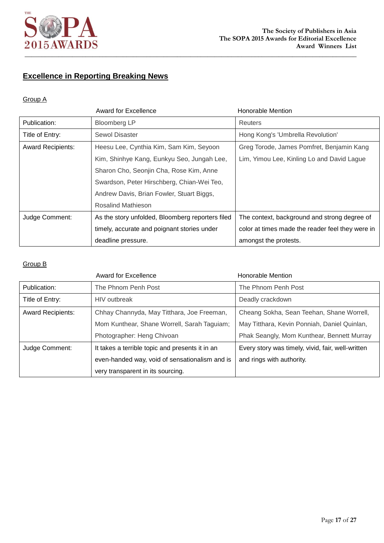

# **Excellence in Reporting Breaking News**

### Group A

|                          | <b>Award for Excellence</b>                      | <b>Honorable Mention</b>                         |
|--------------------------|--------------------------------------------------|--------------------------------------------------|
| Publication:             | <b>Bloomberg LP</b>                              | Reuters                                          |
| Title of Entry:          | Sewol Disaster                                   | Hong Kong's 'Umbrella Revolution'                |
| <b>Award Recipients:</b> | Heesu Lee, Cynthia Kim, Sam Kim, Seyoon          | Greg Torode, James Pomfret, Benjamin Kang        |
|                          | Kim, Shinhye Kang, Eunkyu Seo, Jungah Lee,       | Lim, Yimou Lee, Kinling Lo and David Lague       |
|                          | Sharon Cho, Seonjin Cha, Rose Kim, Anne          |                                                  |
|                          | Swardson, Peter Hirschberg, Chian-Wei Teo,       |                                                  |
|                          | Andrew Davis, Brian Fowler, Stuart Biggs,        |                                                  |
|                          | <b>Rosalind Mathieson</b>                        |                                                  |
| Judge Comment:           | As the story unfolded, Bloomberg reporters filed | The context, background and strong degree of     |
|                          | timely, accurate and poignant stories under      | color at times made the reader feel they were in |
|                          | deadline pressure.                               | amongst the protests.                            |

|                          | <b>Award for Excellence</b>                     | <b>Honorable Mention</b>                          |
|--------------------------|-------------------------------------------------|---------------------------------------------------|
| Publication:             | The Phnom Penh Post                             | The Phnom Penh Post                               |
| Title of Entry:          | <b>HIV</b> outbreak                             | Deadly crackdown                                  |
| <b>Award Recipients:</b> | Chhay Channyda, May Titthara, Joe Freeman,      | Cheang Sokha, Sean Teehan, Shane Worrell,         |
|                          | Mom Kunthear, Shane Worrell, Sarah Taguiam;     | May Titthara, Kevin Ponniah, Daniel Quinlan,      |
|                          | Photographer: Heng Chivoan                      | Phak Seangly, Mom Kunthear, Bennett Murray        |
| Judge Comment:           | It takes a terrible topic and presents it in an | Every story was timely, vivid, fair, well-written |
|                          | even-handed way, void of sensationalism and is  | and rings with authority.                         |
|                          | very transparent in its sourcing.               |                                                   |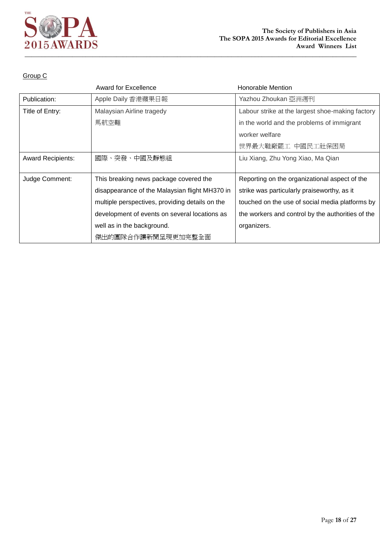

|                          | <b>Award for Excellence</b>                     | <b>Honorable Mention</b>                          |
|--------------------------|-------------------------------------------------|---------------------------------------------------|
| Publication:             | Apple Daily 香港蘋果日報                              | Yazhou Zhoukan 亞洲週刊                               |
| Title of Entry:          | Malaysian Airline tragedy                       | Labour strike at the largest shoe-making factory  |
|                          | 馬航空難                                            | in the world and the problems of immigrant        |
|                          |                                                 | worker welfare                                    |
|                          |                                                 | 世界最大鞋廠罷工 中國民工社保困局                                 |
| <b>Award Recipients:</b> | 國際、突發、中國及靜態組                                    | Liu Xiang, Zhu Yong Xiao, Ma Qian                 |
|                          |                                                 |                                                   |
| Judge Comment:           | This breaking news package covered the          | Reporting on the organizational aspect of the     |
|                          | disappearance of the Malaysian flight MH370 in  | strike was particularly praiseworthy, as it       |
|                          | multiple perspectives, providing details on the | touched on the use of social media platforms by   |
|                          | development of events on several locations as   | the workers and control by the authorities of the |
|                          | well as in the background.                      | organizers.                                       |
|                          | 傑出的團隊合作讓新聞呈現更加完整全面                              |                                                   |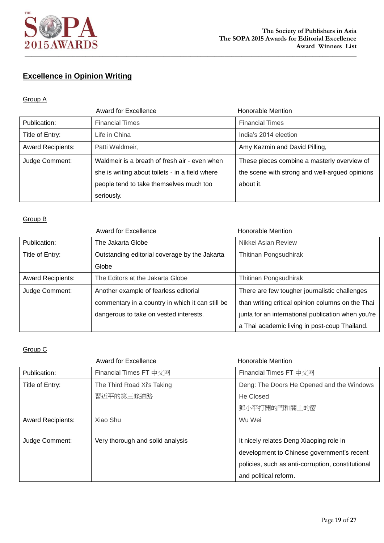

# **Excellence in Opinion Writing**

### Group A

|                          | Award for Excellence                                                                                                                                      | <b>Honorable Mention</b>                                                                                   |
|--------------------------|-----------------------------------------------------------------------------------------------------------------------------------------------------------|------------------------------------------------------------------------------------------------------------|
| Publication:             | <b>Financial Times</b>                                                                                                                                    | <b>Financial Times</b>                                                                                     |
| Title of Entry:          | Life in China                                                                                                                                             | India's 2014 election                                                                                      |
| <b>Award Recipients:</b> | Patti Waldmeir,                                                                                                                                           | Amy Kazmin and David Pilling,                                                                              |
| Judge Comment:           | Waldmeir is a breath of fresh air - even when<br>she is writing about toilets - in a field where<br>people tend to take themselves much too<br>seriously. | These pieces combine a masterly overview of<br>the scene with strong and well-argued opinions<br>about it. |

### Group B

|                          | <b>Award for Excellence</b>                      | Honorable Mention                                  |
|--------------------------|--------------------------------------------------|----------------------------------------------------|
| Publication:             | The Jakarta Globe                                | Nikkei Asian Review                                |
| Title of Entry:          | Outstanding editorial coverage by the Jakarta    | Thitinan Pongsudhirak                              |
|                          | Globe                                            |                                                    |
| <b>Award Recipients:</b> | The Editors at the Jakarta Globe                 | Thitinan Pongsudhirak                              |
| Judge Comment:           | Another example of fearless editorial            | There are few tougher journalistic challenges      |
|                          | commentary in a country in which it can still be | than writing critical opinion columns on the Thai  |
|                          | dangerous to take on vested interests.           | junta for an international publication when you're |
|                          |                                                  | a Thai academic living in post-coup Thailand.      |

|                          | <b>Award for Excellence</b>      | Honorable Mention                                 |
|--------------------------|----------------------------------|---------------------------------------------------|
| Publication:             | Financial Times FT 中文网           | Financial Times FT 中文网                            |
| Title of Entry:          | The Third Road Xi's Taking       | Deng: The Doors He Opened and the Windows         |
|                          | 習近平的第三條道路                        | He Closed                                         |
|                          |                                  | 鄧小平打開的門和關上的窗                                      |
| <b>Award Recipients:</b> | Xiao Shu                         | Wu Wei                                            |
|                          |                                  |                                                   |
| Judge Comment:           | Very thorough and solid analysis | It nicely relates Deng Xiaoping role in           |
|                          |                                  | development to Chinese government's recent        |
|                          |                                  | policies, such as anti-corruption, constitutional |
|                          |                                  | and political reform.                             |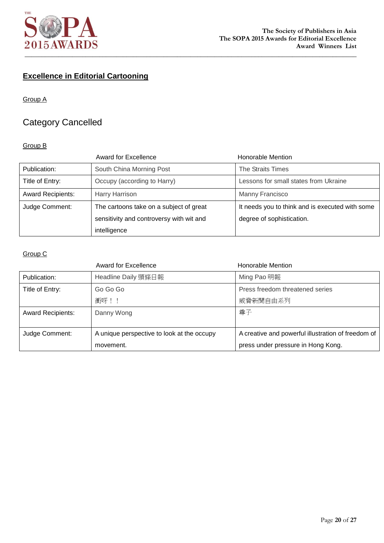

# **Excellence in Editorial Cartooning**

### Group A

# Category Cancelled

### Group B

|                          | <b>Award for Excellence</b>              | <b>Honorable Mention</b>                        |
|--------------------------|------------------------------------------|-------------------------------------------------|
| Publication:             | South China Morning Post                 | The Straits Times                               |
| Title of Entry:          | Occupy (according to Harry)              | Lessons for small states from Ukraine           |
| <b>Award Recipients:</b> | Harry Harrison                           | Manny Francisco                                 |
| Judge Comment:           | The cartoons take on a subject of great  | It needs you to think and is executed with some |
|                          | sensitivity and controversy with wit and | degree of sophistication.                       |
|                          | intelligence                             |                                                 |

|                          | <b>Award for Excellence</b>                | Honorable Mention                                  |
|--------------------------|--------------------------------------------|----------------------------------------------------|
| Publication:             | Headline Daily 頭條日報                        | Ming Pao 明報                                        |
| Title of Entry:          | Go Go Go                                   | Press freedom threatened series                    |
|                          | 衝呀!!                                       | 威脅新聞自由系列                                           |
| <b>Award Recipients:</b> | Danny Wong                                 | 尊子                                                 |
|                          |                                            |                                                    |
| Judge Comment:           | A unique perspective to look at the occupy | A creative and powerful illustration of freedom of |
|                          | movement.                                  | press under pressure in Hong Kong.                 |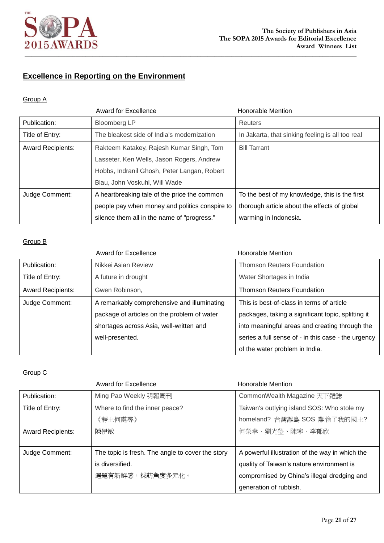

# **Excellence in Reporting on the Environment**

### Group A

|                          | <b>Award for Excellence</b>                    | Honorable Mention                                |
|--------------------------|------------------------------------------------|--------------------------------------------------|
| Publication:             | <b>Bloomberg LP</b>                            | <b>Reuters</b>                                   |
| Title of Entry:          | The bleakest side of India's modernization     | In Jakarta, that sinking feeling is all too real |
| <b>Award Recipients:</b> | Rakteem Katakey, Rajesh Kumar Singh, Tom       | <b>Bill Tarrant</b>                              |
|                          | Lasseter, Ken Wells, Jason Rogers, Andrew      |                                                  |
|                          | Hobbs, Indranil Ghosh, Peter Langan, Robert    |                                                  |
|                          | Blau, John Voskuhl, Will Wade                  |                                                  |
| Judge Comment:           | A heartbreaking tale of the price the common   | To the best of my knowledge, this is the first   |
|                          | people pay when money and politics conspire to | thorough article about the effects of global     |
|                          | silence them all in the name of "progress."    | warming in Indonesia.                            |

### Group B

|                          | <b>Award for Excellence</b>                 | Honorable Mention                                   |
|--------------------------|---------------------------------------------|-----------------------------------------------------|
| Publication:             | Nikkei Asian Review                         | <b>Thomson Reuters Foundation</b>                   |
| Title of Entry:          | A future in drought                         | Water Shortages in India                            |
| <b>Award Recipients:</b> | Gwen Robinson,                              | <b>Thomson Reuters Foundation</b>                   |
| Judge Comment:           | A remarkably comprehensive and illuminating | This is best-of-class in terms of article           |
|                          | package of articles on the problem of water | packages, taking a significant topic, splitting it  |
|                          | shortages across Asia, well-written and     | into meaningful areas and creating through the      |
|                          | well-presented.                             | series a full sense of - in this case - the urgency |
|                          |                                             | of the water problem in India.                      |

|                          | <b>Award for Excellence</b>                      | Honorable Mention                               |
|--------------------------|--------------------------------------------------|-------------------------------------------------|
| Publication:             | Ming Pao Weekly 明報周刊                             | CommonWealth Magazine 天下雜誌                      |
| Title of Entry:          | Where to find the inner peace?                   | Taiwan's outlying island SOS: Who stole my      |
|                          | 《靜土何處尋》                                          | homeland? 台灣離島 SOS 誰偷了我的國土?                     |
| <b>Award Recipients:</b> | 陳伊敏                                              | 何榮幸、劉光瑩、陳寧、李郁欣                                  |
|                          |                                                  |                                                 |
| Judge Comment:           | The topic is fresh. The angle to cover the story | A powerful illustration of the way in which the |
|                          | is diversified.                                  | quality of Taiwan's nature environment is       |
|                          | 選題有新鮮感,採訪角度多元化。                                  | compromised by China's illegal dredging and     |
|                          |                                                  | generation of rubbish.                          |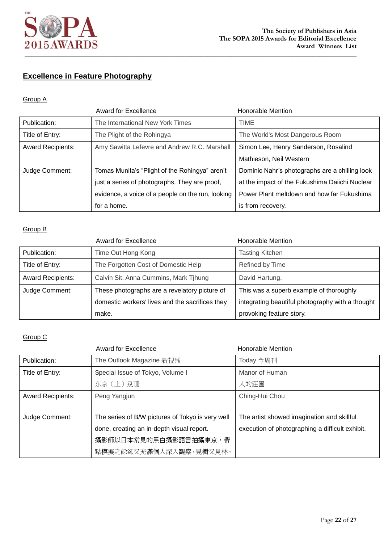

# **Excellence in Feature Photography**

### Group A

|                          | <b>Award for Excellence</b>                       | Honorable Mention                              |
|--------------------------|---------------------------------------------------|------------------------------------------------|
| Publication:             | The International New York Times                  | TIME                                           |
| Title of Entry:          | The Plight of the Rohingya                        | The World's Most Dangerous Room                |
| <b>Award Recipients:</b> | Amy Sawitta Lefevre and Andrew R.C. Marshall      | Simon Lee, Henry Sanderson, Rosalind           |
|                          |                                                   | Mathieson, Neil Western                        |
| Judge Comment:           | Tomas Munita's "Plight of the Rohingya" aren't    | Dominic Nahr's photographs are a chilling look |
|                          | just a series of photographs. They are proof,     | at the impact of the Fukushima Daiichi Nuclear |
|                          | evidence, a voice of a people on the run, looking | Power Plant meltdown and how far Fukushima     |
|                          | for a home.                                       | is from recovery.                              |

### Group B

|                          | <b>Award for Excellence</b>                     | <b>Honorable Mention</b>                         |
|--------------------------|-------------------------------------------------|--------------------------------------------------|
| Publication:             | Time Out Hong Kong                              | <b>Tasting Kitchen</b>                           |
| Title of Entry:          | The Forgotten Cost of Domestic Help             | Refined by Time                                  |
| <b>Award Recipients:</b> | Calvin Sit, Anna Cummins, Mark Tjhung           | David Hartung,                                   |
| Judge Comment:           | These photographs are a revelatory picture of   | This was a superb example of thoroughly          |
|                          | domestic workers' lives and the sacrifices they | integrating beautiful photography with a thought |
|                          | make.                                           | provoking feature story.                         |

|                          | Award for Excellence                             | <b>Honorable Mention</b>                        |
|--------------------------|--------------------------------------------------|-------------------------------------------------|
| Publication:             | The Outlook Magazine 新视线                         | Today 今周刊                                       |
| Title of Entry:          | Special Issue of Tokyo, Volume I                 | Manor of Human                                  |
|                          | 东京 (上) 别册                                        | 人的莊園                                            |
| <b>Award Recipients:</b> | Peng Yangjun                                     | Ching-Hui Chou                                  |
|                          |                                                  |                                                 |
| Judge Comment:           | The series of B/W pictures of Tokyo is very well | The artist showed imagination and skillful      |
|                          | done, creating an in-depth visual report.        | execution of photographing a difficult exhibit. |
|                          | 攝影師以日本常見的黑白攝影語言拍攝東京,帶                            |                                                 |
|                          | 點模擬之餘卻又充滿個人深入觀察,見樹又見林。                           |                                                 |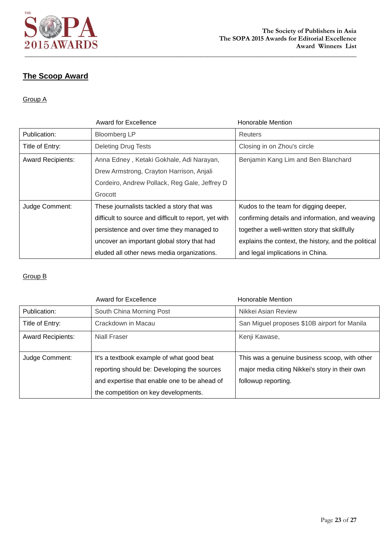

## **The Scoop Award**

### Group A

|                          | <b>Award for Excellence</b>                           | <b>Honorable Mention</b>                             |
|--------------------------|-------------------------------------------------------|------------------------------------------------------|
| Publication:             | <b>Bloomberg LP</b>                                   | Reuters                                              |
| Title of Entry:          | <b>Deleting Drug Tests</b>                            | Closing in on Zhou's circle                          |
| <b>Award Recipients:</b> | Anna Edney, Ketaki Gokhale, Adi Narayan,              | Benjamin Kang Lim and Ben Blanchard                  |
|                          | Drew Armstrong, Crayton Harrison, Anjali              |                                                      |
|                          | Cordeiro, Andrew Pollack, Reg Gale, Jeffrey D         |                                                      |
|                          | Grocott                                               |                                                      |
| Judge Comment:           | These journalists tackled a story that was            | Kudos to the team for digging deeper,                |
|                          | difficult to source and difficult to report, yet with | confirming details and information, and weaving      |
|                          | persistence and over time they managed to             | together a well-written story that skillfully        |
|                          | uncover an important global story that had            | explains the context, the history, and the political |
|                          | eluded all other news media organizations.            | and legal implications in China.                     |

|                          | Award for Excellence                         | <b>Honorable Mention</b>                       |
|--------------------------|----------------------------------------------|------------------------------------------------|
| Publication:             | South China Morning Post                     | Nikkei Asian Review                            |
| Title of Entry:          | Crackdown in Macau                           | San Miguel proposes \$10B airport for Manila   |
| <b>Award Recipients:</b> | Niall Fraser                                 | Kenji Kawase,                                  |
| Judge Comment:           | It's a textbook example of what good beat    | This was a genuine business scoop, with other  |
|                          | reporting should be: Developing the sources  | major media citing Nikkei's story in their own |
|                          |                                              |                                                |
|                          | and expertise that enable one to be ahead of | followup reporting.                            |
|                          | the competition on key developments.         |                                                |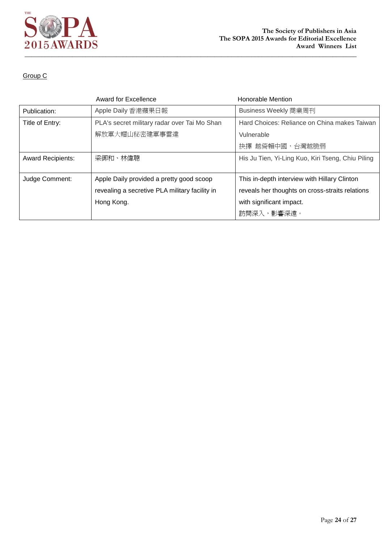

|                          | <b>Award for Excellence</b>                    | <b>Honorable Mention</b>                          |
|--------------------------|------------------------------------------------|---------------------------------------------------|
| Publication:             | Apple Daily 香港蘋果日報                             | Business Weekly 商業周刊                              |
| Title of Entry:          | PLA's secret military radar over Tai Mo Shan   | Hard Choices: Reliance on China makes Taiwan      |
|                          | 解放軍大帽山秘密建軍事雷達                                  | Vulnerable                                        |
|                          |                                                | 抉擇 越倚賴中國,台灣越脆弱                                    |
| <b>Award Recipients:</b> | 梁御和、林偉聰                                        | His Ju Tien, Yi-Ling Kuo, Kiri Tseng, Chiu Piling |
|                          |                                                |                                                   |
| Judge Comment:           | Apple Daily provided a pretty good scoop       | This in-depth interview with Hillary Clinton      |
|                          | revealing a secretive PLA military facility in | reveals her thoughts on cross-straits relations   |
|                          | Hong Kong.                                     | with significant impact.                          |
|                          |                                                | 訪問深入,影響深遠。                                        |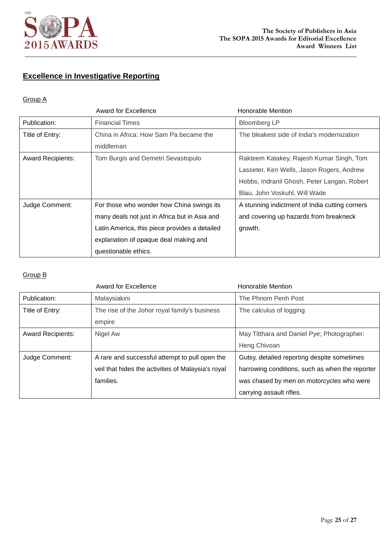

# **Excellence in Investigative Reporting**

### Group A

|                          | Award for Excellence                          | Honorable Mention                              |
|--------------------------|-----------------------------------------------|------------------------------------------------|
| Publication:             | <b>Financial Times</b>                        | <b>Bloomberg LP</b>                            |
| Title of Entry:          | China in Africa: How Sam Pa became the        | The bleakest side of India's modernization     |
|                          | middleman                                     |                                                |
| <b>Award Recipients:</b> | Tom Burgis and Demetri Sevastopulo            | Rakteem Katakey, Rajesh Kumar Singh, Tom       |
|                          |                                               | Lasseter, Ken Wells, Jason Rogers, Andrew      |
|                          |                                               | Hobbs, Indranil Ghosh, Peter Langan, Robert    |
|                          |                                               | Blau, John Voskuhl, Will Wade                  |
| Judge Comment:           | For those who wonder how China swings its     | A stunning indictment of India cutting corners |
|                          | many deals not just in Africa but in Asia and | and covering up hazards from breakneck         |
|                          | Latin America, this piece provides a detailed | growth.                                        |
|                          | explanation of opaque deal making and         |                                                |
|                          | questionable ethics.                          |                                                |

|                          | <b>Award for Excellence</b>                        | Honorable Mention                               |
|--------------------------|----------------------------------------------------|-------------------------------------------------|
| Publication:             | Malaysiakini                                       | The Phnom Penh Post                             |
| Title of Entry:          | The rise of the Johor royal family's business      | The calculus of logging                         |
|                          | empire                                             |                                                 |
| <b>Award Recipients:</b> | Nigel Aw                                           | May Titthara and Daniel Pye; Photographer:      |
|                          |                                                    | Heng Chivoan                                    |
| Judge Comment:           | A rare and successful attempt to pull open the     | Gutsy, detailed reporting despite sometimes     |
|                          | veil that hides the activities of Malaysia's royal | harrowing conditions, such as when the reporter |
|                          | families.                                          | was chased by men on motorcycles who were       |
|                          |                                                    | carrying assault rifles.                        |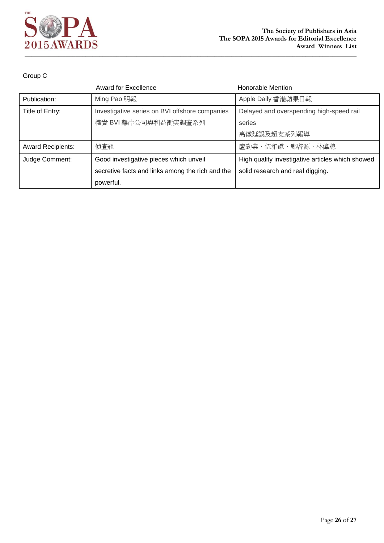

|                          | <b>Award for Excellence</b>                      | Honorable Mention                                |
|--------------------------|--------------------------------------------------|--------------------------------------------------|
| Publication:             | Ming Pao 明報                                      | Apple Daily 香港蘋果日報                               |
| Title of Entry:          | Investigative series on BVI offshore companies   | Delayed and overspending high-speed rail         |
|                          | 權貴 BVI 離岸公司與利益衝突調査系列                             | series                                           |
|                          |                                                  | 高鐵延誤及超支系列報導                                      |
| <b>Award Recipients:</b> | 偵査組                                              | 盧勁業、伍雅謙、鄭啓源、林偉聰                                  |
| Judge Comment:           | Good investigative pieces which unveil           | High quality investigative articles which showed |
|                          | secretive facts and links among the rich and the | solid research and real digging.                 |
|                          | powerful.                                        |                                                  |